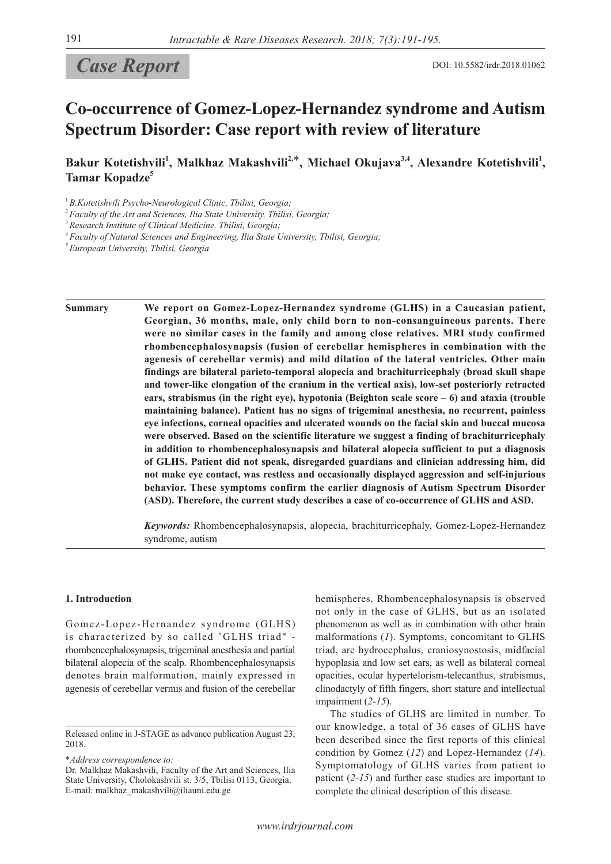# **Case Report** DOI: 10.5582/irdr.2018.01062

# **Co-occurrence of Gomez-Lopez-Hernandez syndrome and Autism Spectrum Disorder: Case report with review of literature**

Bakur Kotetishvili<sup>1</sup>, Malkhaz Makashvili<sup>2,\*</sup>, Michael Okujava<sup>3,4</sup>, Alexandre Kotetishvili<sup>1</sup>, **Tamar Kopadze5**

<sup>1</sup>*B.Kotetishvili Psycho-Neurological Clinic, Tbilisi, Georgia;*

<sup>2</sup>*Faculty of the Art and Sciences, Ilia State University, Tbilisi, Georgia;*

<sup>4</sup>*Faculty of Natural Sciences and Engineering, Ilia State University, Tbilisi, Georgia;*

<sup>5</sup>*European University, Tbilisi, Georgia.*

**Summary We report on Gomez-Lopez-Hernandez syndrome (GLHS) in a Caucasian patient, Georgian, 36 months, male, only child born to non-consanguineous parents. There were no similar cases in the family and among close relatives. MRI study confirmed rhombencephalosynapsis (fusion of cerebellar hemispheres in combination with the agenesis of cerebellar vermis) and mild dilation of the lateral ventricles. Other main findings are bilateral parieto-temporal alopecia and brachiturricephaly (broad skull shape and tower-like elongation of the cranium in the vertical axis), low-set posteriorly retracted ears, strabismus (in the right eye), hypotonia (Beighton scale score – 6) and ataxia (trouble maintaining balance). Patient has no signs of trigeminal anesthesia, no recurrent, painless eye infections, corneal opacities and ulcerated wounds on the facial skin and buccal mucosa were observed. Based on the scientific literature we suggest a finding of brachiturricephaly in addition to rhombencephalosynapsis and bilateral alopecia sufficient to put a diagnosis of GLHS. Patient did not speak, disregarded guardians and clinician addressing him, did not make eye contact, was restless and occasionally displayed aggression and self-injurious behavior. These symptoms confirm the earlier diagnosis of Autism Spectrum Disorder (ASD). Therefore, the current study describes a case of co-occurrence of GLHS and ASD.** 

> *Keywords:* Rhombencephalosynapsis, alopecia, brachiturricephaly, Gomez-Lopez-Hernandez syndrome, autism

#### **1. Introduction**

Gomez-Lopez‐Hernandez syndrome (GLHS) is characterized by so called "GLHS triad" rhombencephalosynapsis, trigeminal anesthesia and partial bilateral alopecia of the scalp. Rhombencephalosynapsis denotes brain malformation, mainly expressed in agenesis of cerebellar vermis and fusion of the cerebellar

\**Address correspondence to:*

hemispheres. Rhombencephalosynapsis is observed not only in the case of GLHS, but as an isolated phenomenon as well as in combination with other brain malformations (*1*). Symptoms, concomitant to GLHS triad, are hydrocephalus, craniosynostosis, midfacial hypoplasia and low set ears, as well as bilateral corneal opacities, ocular hypertelorism-telecanthus, strabismus, clinodactyly of fifth fingers, short stature and intellectual impairment (*2-15*).

The studies of GLHS are limited in number. To our knowledge, a total of 36 cases of GLHS have been described since the first reports of this clinical condition by Gomez (*12*) and Lopez-Hernandez (*14*). Symptomatology of GLHS varies from patient to patient (*2-15*) and further case studies are important to complete the clinical description of this disease.

<sup>3</sup>*Research Institute of Clinical Medicine, Tbilisi, Georgia;*

Released online in J-STAGE as advance publication August 23, 2018.

Dr. Malkhaz Makashvili, Faculty of the Art and Sciences, Ilia State University, Cholokashvili st. 3/5, Tbilisi 0113, Georgia. E-mail: malkhaz\_makashvili@iliauni.edu.ge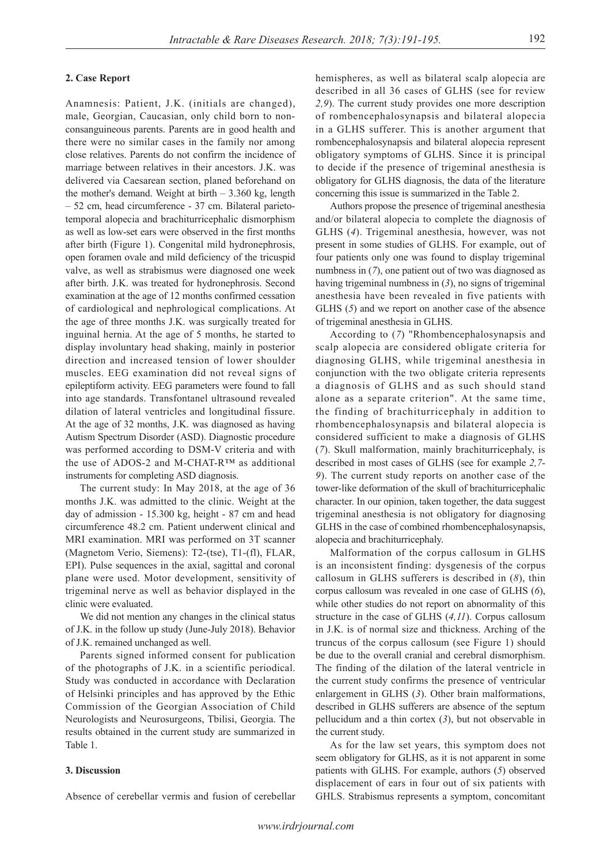## **2. Case Report**

Anamnesis: Patient, J.K. (initials are changed), male, Georgian, Caucasian, only child born to nonconsanguineous parents. Parents are in good health and there were no similar cases in the family nor among close relatives. Parents do not confirm the incidence of marriage between relatives in their ancestors. J.K. was delivered via Caesarean section, planed beforehand on the mother's demand. Weight at birth – 3.360 kg, length – 52 cm, head circumference - 37 cm. Bilateral parietotemporal alopecia and brachiturricephalic dismorphism as well as low-set ears were observed in the first months after birth (Figure 1). Congenital mild hydronephrosis, open foramen ovale and mild deficiency of the tricuspid valve, as well as strabismus were diagnosed one week after birth. J.K. was treated for hydronephrosis. Second examination at the age of 12 months confirmed cessation of cardiological and nephrological complications. At the age of three months J.K. was surgically treated for inguinal hernia. At the age of 5 months, he started to display involuntary head shaking, mainly in posterior direction and increased tension of lower shoulder muscles. EEG examination did not reveal signs of epileptiform activity. EEG parameters were found to fall into age standards. Transfontanel ultrasound revealed dilation of lateral ventricles and longitudinal fissure. At the age of 32 months, J.K. was diagnosed as having Autism Spectrum Disorder (ASD). Diagnostic procedure was performed according to DSM-V criteria and with the use of ADOS-2 and M-CHAT-R™ as additional instruments for completing ASD diagnosis.

The current study: In May 2018, at the age of 36 months J.K. was admitted to the clinic. Weight at the day of admission - 15.300 kg, height - 87 cm and head circumference 48.2 cm. Patient underwent clinical and MRI examination. MRI was performed on 3T scanner (Magnetom Verio, Siemens): T2-(tse), T1-(fl), FLAR, EPI). Pulse sequences in the axial, sagittal and coronal plane were used. Motor development, sensitivity of trigeminal nerve as well as behavior displayed in the clinic were evaluated.

We did not mention any changes in the clinical status of J.K. in the follow up study (June-July 2018). Behavior of J.K. remained unchanged as well.

Parents signed informed consent for publication of the photographs of J.K. in a scientific periodical. Study was conducted in accordance with Declaration of Helsinki principles and has approved by the Ethic Commission of the Georgian Association of Child Neurologists and Neurosurgeons, Tbilisi, Georgia. The results obtained in the current study are summarized in Table 1.

### **3. Discussion**

Absence of cerebellar vermis and fusion of cerebellar

hemispheres, as well as bilateral scalp alopecia are described in all 36 cases of GLHS (see for review *2,9*). The current study provides one more description of rombencephalosynapsis and bilateral alopecia in a GLHS sufferer. This is another argument that rombencephalosynapsis and bilateral alopecia represent obligatory symptoms of GLHS. Since it is principal to decide if the presence of trigeminal anesthesia is obligatory for GLHS diagnosis, the data of the literature concerning this issue is summarized in the Table 2.

Authors propose the presence of trigeminal anesthesia and/or bilateral alopecia to complete the diagnosis of GLHS (*4*). Trigeminal anesthesia, however, was not present in some studies of GLHS. For example, out of four patients only one was found to display trigeminal numbness in (*7*), one patient out of two was diagnosed as having trigeminal numbness in (*3*), no signs of trigeminal anesthesia have been revealed in five patients with GLHS (*5*) and we report on another case of the absence of trigeminal anesthesia in GLHS.

According to (*7*) "Rhombencephalosynapsis and scalp alopecia are considered obligate criteria for diagnosing GLHS, while trigeminal anesthesia in conjunction with the two obligate criteria represents a diagnosis of GLHS and as such should stand alone as a separate criterion". At the same time, the finding of brachiturricephaly in addition to rhombencephalosynapsis and bilateral alopecia is considered sufficient to make a diagnosis of GLHS (*7*). Skull malformation, mainly brachiturricephaly, is described in most cases of GLHS (see for example *2,7*- *9*). The current study reports on another case of the tower-like deformation of the skull of brachiturricephalic character. In our opinion, taken together, the data suggest trigeminal anesthesia is not obligatory for diagnosing GLHS in the case of combined rhombencephalosynapsis, alopecia and brachiturricephaly.

Malformation of the corpus callosum in GLHS is an inconsistent finding: dysgenesis of the corpus callosum in GLHS sufferers is described in (*8*), thin corpus callosum was revealed in one case of GLHS (*6*), while other studies do not report on abnormality of this structure in the case of GLHS (*4,11*). Corpus callosum in J.K. is of normal size and thickness. Arching of the truncus of the corpus callosum (see Figure 1) should be due to the overall cranial and cerebral dismorphism. The finding of the dilation of the lateral ventricle in the current study confirms the presence of ventricular enlargement in GLHS (*3*). Other brain malformations, described in GLHS sufferers are absence of the septum pellucidum and a thin cortex (*3*), but not observable in the current study.

As for the law set years, this symptom does not seem obligatory for GLHS, as it is not apparent in some patients with GLHS. For example, authors (*5*) observed displacement of ears in four out of six patients with GHLS. Strabismus represents a symptom, concomitant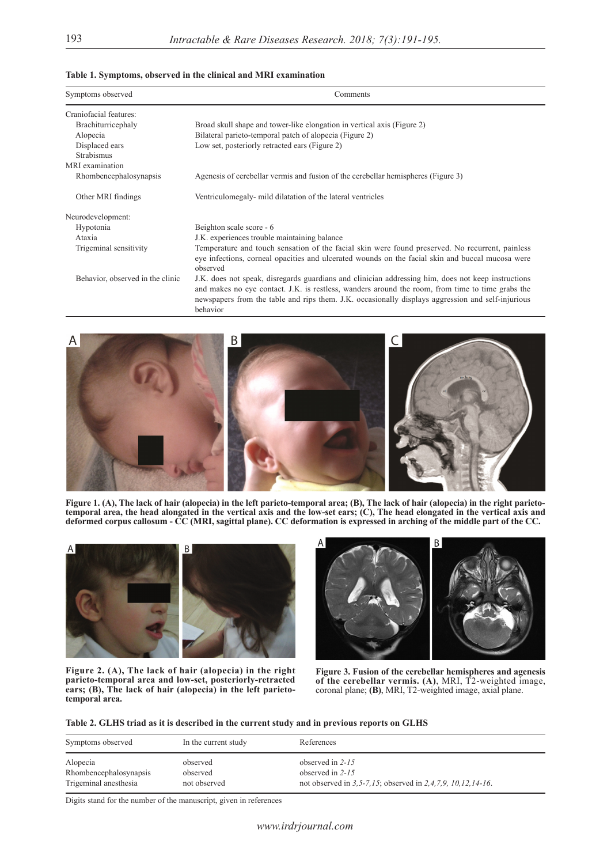|  | Table 1. Symptoms, observed in the clinical and MRI examination |  |  |  |  |
|--|-----------------------------------------------------------------|--|--|--|--|
|--|-----------------------------------------------------------------|--|--|--|--|

| Symptoms observed                | Comments                                                                                                                                                                                                                                                                                                                |  |  |  |
|----------------------------------|-------------------------------------------------------------------------------------------------------------------------------------------------------------------------------------------------------------------------------------------------------------------------------------------------------------------------|--|--|--|
| Craniofacial features:           |                                                                                                                                                                                                                                                                                                                         |  |  |  |
| Brachiturricephaly               | Broad skull shape and tower-like elongation in vertical axis (Figure 2)                                                                                                                                                                                                                                                 |  |  |  |
| Alopecia                         | Bilateral parieto-temporal patch of alopecia (Figure 2)                                                                                                                                                                                                                                                                 |  |  |  |
| Displaced ears                   | Low set, posteriorly retracted ears (Figure 2)                                                                                                                                                                                                                                                                          |  |  |  |
| <b>Strabismus</b>                |                                                                                                                                                                                                                                                                                                                         |  |  |  |
| MRI examination                  |                                                                                                                                                                                                                                                                                                                         |  |  |  |
| Rhombencephalosynapsis           | Agenesis of cerebellar vermis and fusion of the cerebellar hemispheres (Figure 3)                                                                                                                                                                                                                                       |  |  |  |
| Other MRI findings               | Ventriculomegaly - mild dilatation of the lateral ventricles                                                                                                                                                                                                                                                            |  |  |  |
| Neurodevelopment:                |                                                                                                                                                                                                                                                                                                                         |  |  |  |
| Hypotonia                        | Beighton scale score - 6                                                                                                                                                                                                                                                                                                |  |  |  |
| Ataxia                           | J.K. experiences trouble maintaining balance                                                                                                                                                                                                                                                                            |  |  |  |
| Trigeminal sensitivity           | Temperature and touch sensation of the facial skin were found preserved. No recurrent, painless<br>eye infections, corneal opacities and ulcerated wounds on the facial skin and buccal mucosa were<br>observed                                                                                                         |  |  |  |
| Behavior, observed in the clinic | J.K. does not speak, disregards guardians and clinician addressing him, does not keep instructions<br>and makes no eye contact. J.K. is restless, wanders around the room, from time to time grabs the<br>newspapers from the table and rips them. J.K. occasionally displays aggression and self-injurious<br>behavior |  |  |  |



**Figure 1. (A), The lack of hair (alopecia) in the left parieto-temporal area; (B), The lack of hair (alopecia) in the right parietotemporal area, the head alongated in the vertical axis and the low-set ears; (C), The head elongated in the vertical axis and deformed corpus callosum - CC (MRI, sagittal plane). CC deformation is expressed in arching of the middle part of the CC.**







**Figure 3. Fusion of the cerebellar hemispheres and agenesis of the cerebellar vermis. (A)**, MRI, T2-weighted image, coronal plane; **(B)**, MRI, T2-weighted image, axial plane.

# **Table 2. GLHS triad as it is described in the current study and in previous reports on GLHS**

| Symptoms observed                                           | In the current study                 | References                                                                                              |
|-------------------------------------------------------------|--------------------------------------|---------------------------------------------------------------------------------------------------------|
| Alopecia<br>Rhombencephalosynapsis<br>Trigeminal anesthesia | observed<br>observed<br>not observed | observed in $2-15$<br>observed in $2-15$<br>not observed in 3.5-7.15; observed in 2.4.7.9, 10.12.14-16. |
|                                                             |                                      |                                                                                                         |

Digits stand for the number of the manuscript, given in references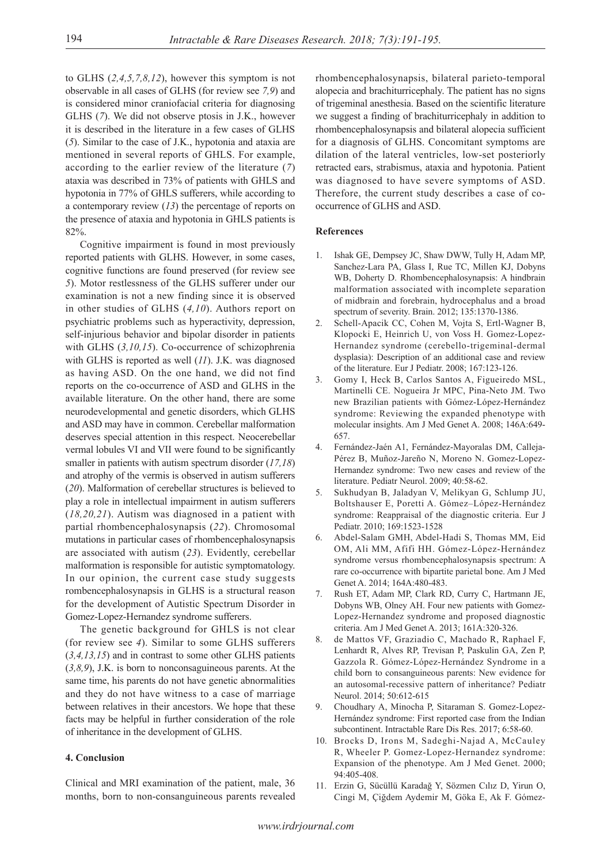to GLHS (*2,4,5,7,8,12*), however this symptom is not observable in all cases of GLHS (for review see *7,9*) and is considered minor craniofacial criteria for diagnosing GLHS (*7*). We did not observe ptosis in J.K., however it is described in the literature in a few cases of GLHS (*5*). Similar to the case of J.K., hypotonia and ataxia are mentioned in several reports of GHLS. For example, according to the earlier review of the literature (*7*) ataxia was described in 73% of patients with GHLS and hypotonia in 77% of GHLS sufferers, while according to a contemporary review (*13*) the percentage of reports on the presence of ataxia and hypotonia in GHLS patients is 82%.

Cognitive impairment is found in most previously reported patients with GLHS. However, in some cases, cognitive functions are found preserved (for review see *5*). Motor restlessness of the GLHS sufferer under our examination is not a new finding since it is observed in other studies of GLHS (*4,10*). Authors report on psychiatric problems such as hyperactivity, depression, self-injurious behavior and bipolar disorder in patients with GLHS (3,10,15). Co-occurrence of schizophrenia with GLHS is reported as well (*11*). J.K. was diagnosed as having ASD. On the one hand, we did not find reports on the co-occurrence of ASD and GLHS in the available literature. On the other hand, there are some neurodevelopmental and genetic disorders, which GLHS and ASD may have in common. Cerebellar malformation deserves special attention in this respect. Neocerebellar vermal lobules VI and VII were found to be significantly smaller in patients with autism spectrum disorder (*17,18*) and atrophy of the vermis is observed in autism sufferers (*20*). Malformation of cerebellar structures is believed to play a role in intellectual impairment in autism sufferers (*18,20,21*). Autism was diagnosed in a patient with partial rhombencephalosynapsis (*22*). Chromosomal mutations in particular cases of rhombencephalosynapsis are associated with autism (*23*). Evidently, cerebellar malformation is responsible for autistic symptomatology. In our opinion, the current case study suggests rombencephalosynapsis in GLHS is a structural reason for the development of Autistic Spectrum Disorder in Gomez-Lopez-Hernandez syndrome sufferers.

The genetic background for GHLS is not clear (for review see *4*). Similar to some GLHS sufferers (*3,4,13,15*) and in contrast to some other GLHS patients (*3,8,9*), J.K. is born to nonconsaguineous parents. At the same time, his parents do not have genetic abnormalities and they do not have witness to a case of marriage between relatives in their ancestors. We hope that these facts may be helpful in further consideration of the role of inheritance in the development of GLHS.

#### **4. Conclusion**

Clinical and MRI examination of the patient, male, 36 months, born to non-consanguineous parents revealed rhombencephalosynapsis, bilateral parieto-temporal alopecia and brachiturricephaly. The patient has no signs of trigeminal anesthesia. Based on the scientific literature we suggest a finding of brachiturricephaly in addition to rhombencephalosynapsis and bilateral alopecia sufficient for a diagnosis of GLHS. Concomitant symptoms are dilation of the lateral ventricles, low-set posteriorly retracted ears, strabismus, ataxia and hypotonia. Patient was diagnosed to have severe symptoms of ASD. Therefore, the current study describes a case of cooccurrence of GLHS and ASD.

#### **References**

- 1. Ishak GE, Dempsey JC, Shaw DWW, Tully H, Adam MP, Sanchez-Lara PA, Glass I, Rue TC, Millen KJ, Dobyns WB, Doherty D. Rhombencephalosynapsis: A hindbrain malformation associated with incomplete separation of midbrain and forebrain, hydrocephalus and a broad spectrum of severity. Brain. 2012; 135:1370-1386.
- 2. Schell-Apacik CC, Cohen M, Vojta S, Ertl-Wagner B, Klopocki E, Heinrich U, von Voss H. Gomez-Lopez-Hernandez syndrome (cerebello-trigeminal-dermal dysplasia): Description of an additional case and review of the literature. Eur J Pediatr. 2008; 167:123-126.
- 3. Gomy I, Heck B, Carlos Santos A, Figueiredo MSL, Martinelli CE. Nogueira Jr MPC, Pina‐Neto JM. Two new Brazilian patients with Gómez-López-Hernández syndrome: Reviewing the expanded phenotype with molecular insights. Am J Med Genet A. 2008; 146A:649- 657.
- 4. Fernández-Jaén A1, Fernández-Mayoralas DM, Calleja-Pérez B, Muñoz-Jareño N, Moreno N. Gomez-Lopez-Hernandez syndrome: Two new cases and review of the literature. Pediatr Neurol. 2009; 40:58-62.
- 5. Sukhudyan B, Jaladyan V, Melikyan G, Schlump JU, Boltshauser E, Poretti A. Gómez–López-Hernández syndrome: Reappraisal of the diagnostic criteria. Eur J Pediatr. 2010; 169:1523-1528
- 6. Abdel-Salam GMH, Abdel‐Hadi S, Thomas MM, Eid OM, Ali MM, Afifi HH. Gómez-López-Hernández syndrome versus rhombencephalosynapsis spectrum: A rare co-occurrence with bipartite parietal bone. Am J Med Genet A. 2014; 164A:480-483.
- 7. Rush ET, Adam MP, Clark RD, Curry C, Hartmann JE, Dobyns WB, Olney AH. Four new patients with Gomez-Lopez-Hernandez syndrome and proposed diagnostic criteria. Am J Med Genet A. 2013; 161A:320-326.
- 8. de Mattos VF, Graziadio C, Machado R, Raphael F, Lenhardt R, Alves RP, Trevisan P, Paskulin GA, Zen P, Gazzola R. Gómez-López-Hernández Syndrome in a child born to consanguineous parents: New evidence for an autosomal-recessive pattern of inheritance? Pediatr Neurol. 2014; 50:612-615
- 9. Choudhary A, Minocha P, Sitaraman S. Gomez-Lopez-Hernández syndrome: First reported case from the Indian subcontinent. Intractable Rare Dis Res. 2017; 6:58-60.
- 10. Brocks D, Irons M, Sadeghi-Najad A, McCauley R, Wheeler P. Gomez-Lopez-Hernandez syndrome: Expansion of the phenotype. Am J Med Genet. 2000; 94:405-408.
- 11. Erzin G, Sücüllü Karadağ Y, Sözmen Cılız D, Yirun O, Cingi M, Çiğdem Aydemir M, Göka E, Ak F. Gómez-